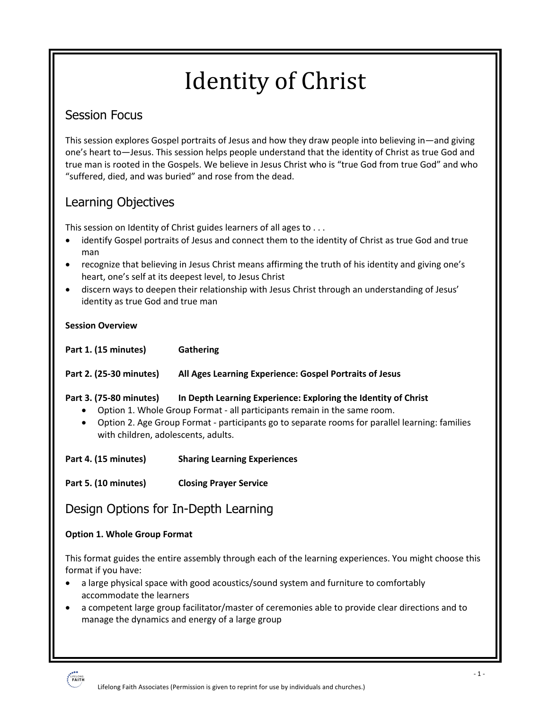# Identity of Christ

### Session Focus

This session explores Gospel portraits of Jesus and how they draw people into believing in—and giving one's heart to—Jesus. This session helps people understand that the identity of Christ as true God and true man is rooted in the Gospels. We believe in Jesus Christ who is "true God from true God" and who "suffered, died, and was buried" and rose from the dead.

### Learning Objectives

This session on Identity of Christ guides learners of all ages to . . .

- identify Gospel portraits of Jesus and connect them to the identity of Christ as true God and true man
- recognize that believing in Jesus Christ means affirming the truth of his identity and giving one's heart, one's self at its deepest level, to Jesus Christ
- discern ways to deepen their relationship with Jesus Christ through an understanding of Jesus' identity as true God and true man

#### **Session Overview**

| Part 1. (15 minutes)                                                                                                                                                                                                                                                                                                                     | Gathering                                               |
|------------------------------------------------------------------------------------------------------------------------------------------------------------------------------------------------------------------------------------------------------------------------------------------------------------------------------------------|---------------------------------------------------------|
| Part 2. (25-30 minutes)                                                                                                                                                                                                                                                                                                                  | All Ages Learning Experience: Gospel Portraits of Jesus |
| Part 3. (75-80 minutes)<br>In Depth Learning Experience: Exploring the Identity of Christ<br>Option 1. Whole Group Format - all participants remain in the same room.<br>$\bullet$<br>Option 2. Age Group Format - participants go to separate rooms for parallel learning: families<br>$\bullet$<br>with children, adolescents, adults. |                                                         |
| Part 4. (15 minutes)                                                                                                                                                                                                                                                                                                                     | <b>Sharing Learning Experiences</b>                     |
| Part 5. (10 minutes)                                                                                                                                                                                                                                                                                                                     | <b>Closing Prayer Service</b>                           |
| Design Options for In-Depth Learning                                                                                                                                                                                                                                                                                                     |                                                         |
| <b>Option 1. Whole Group Format</b>                                                                                                                                                                                                                                                                                                      |                                                         |
| This format guides the entire assembly through each of the learning experiences. You might choose this                                                                                                                                                                                                                                   |                                                         |

- format if you have: • a large physical space with good acoustics/sound system and furniture to comfortably accommodate the learners
- a competent large group facilitator/master of ceremonies able to provide clear directions and to manage the dynamics and energy of a large group

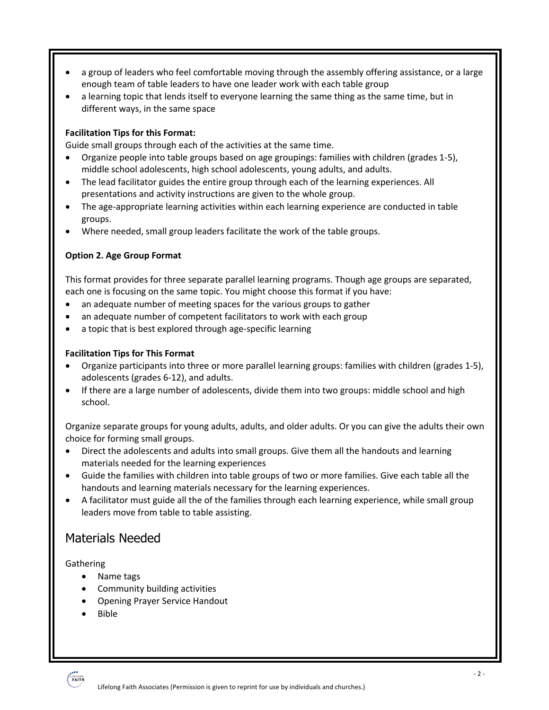- a group of leaders who feel comfortable moving through the assembly offering assistance, or a large enough team of table leaders to have one leader work with each table group
- a learning topic that lends itself to everyone learning the same thing as the same time, but in different ways, in the same space

#### **Facilitation Tips for this Format:**

Guide small groups through each of the activities at the same time.

- Organize people into table groups based on age groupings: families with children (grades 1-5), middle school adolescents, high school adolescents, young adults, and adults.
- The lead facilitator guides the entire group through each of the learning experiences. All presentations and activity instructions are given to the whole group.
- The age-appropriate learning activities within each learning experience are conducted in table groups.
- Where needed, small group leaders facilitate the work of the table groups.

#### **Option 2. Age Group Format**

This format provides for three separate parallel learning programs. Though age groups are separated, each one is focusing on the same topic. You might choose this format if you have:

- an adequate number of meeting spaces for the various groups to gather
- an adequate number of competent facilitators to work with each group
- a topic that is best explored through age-specific learning

#### **Facilitation Tips for This Format**

- Organize participants into three or more parallel learning groups: families with children (grades 1-5), adolescents (grades 6-12), and adults.
- If there are a large number of adolescents, divide them into two groups: middle school and high school.

Organize separate groups for young adults, adults, and older adults. Or you can give the adults their own choice for forming small groups.

- Direct the adolescents and adults into small groups. Give them all the handouts and learning materials needed for the learning experiences
- Guide the families with children into table groups of two or more families. Give each table all the handouts and learning materials necessary for the learning experiences.
- A facilitator must guide all the of the families through each learning experience, while small group leaders move from table to table assisting.

#### Materials Needed

**Gathering** 

- Name tags
	- Community building activities
- Opening Prayer Service Handout
- Bible

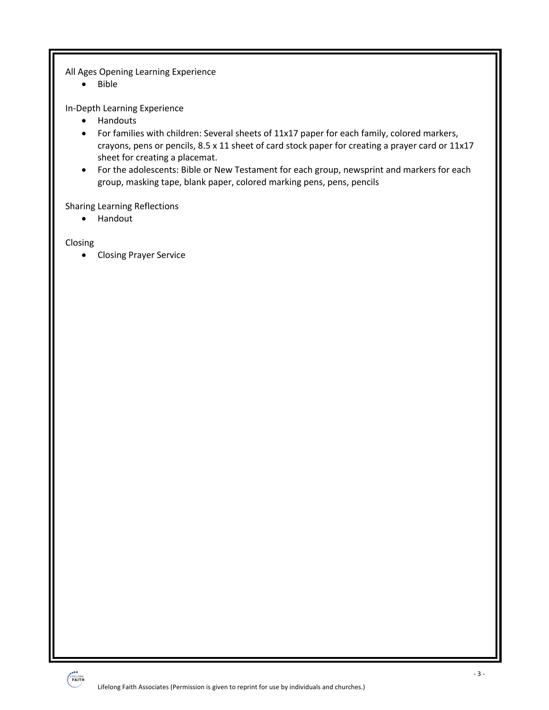#### All Ages Opening Learning Experience

• Bible

In-Depth Learning Experience

- Handouts
- For families with children: Several sheets of 11x17 paper for each family, colored markers, crayons, pens or pencils, 8.5 x 11 sheet of card stock paper for creating a prayer card or 11x17 sheet for creating a placemat.
- For the adolescents: Bible or New Testament for each group, newsprint and markers for each group, masking tape, blank paper, colored marking pens, pens, pencils

Sharing Learning Reflections

• Handout

Closing

• Closing Prayer Service

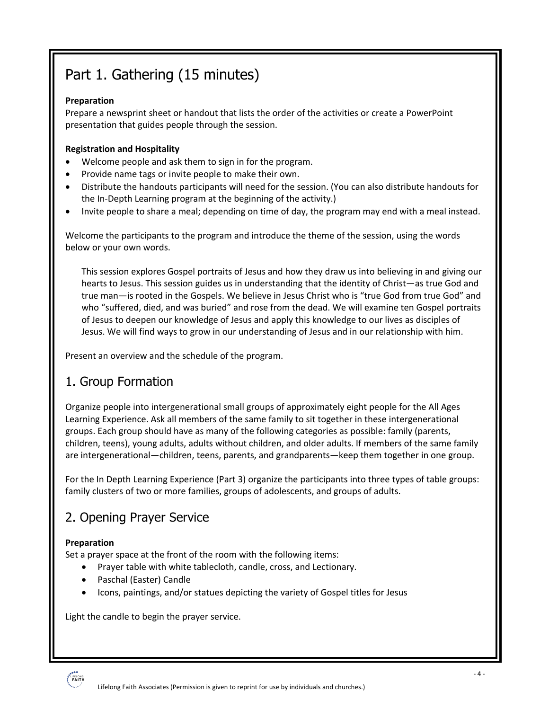# Part 1. Gathering (15 minutes)

#### **Preparation**

Prepare a newsprint sheet or handout that lists the order of the activities or create a PowerPoint presentation that guides people through the session.

#### **Registration and Hospitality**

- Welcome people and ask them to sign in for the program.
- Provide name tags or invite people to make their own.
- Distribute the handouts participants will need for the session. (You can also distribute handouts for the In-Depth Learning program at the beginning of the activity.)
- Invite people to share a meal; depending on time of day, the program may end with a meal instead.

Welcome the participants to the program and introduce the theme of the session, using the words below or your own words.

This session explores Gospel portraits of Jesus and how they draw us into believing in and giving our hearts to Jesus. This session guides us in understanding that the identity of Christ—as true God and true man—is rooted in the Gospels. We believe in Jesus Christ who is "true God from true God" and who "suffered, died, and was buried" and rose from the dead. We will examine ten Gospel portraits of Jesus to deepen our knowledge of Jesus and apply this knowledge to our lives as disciples of Jesus. We will find ways to grow in our understanding of Jesus and in our relationship with him.

Present an overview and the schedule of the program.

### 1. Group Formation

Organize people into intergenerational small groups of approximately eight people for the All Ages Learning Experience. Ask all members of the same family to sit together in these intergenerational groups. Each group should have as many of the following categories as possible: family (parents, children, teens), young adults, adults without children, and older adults. If members of the same family are intergenerational—children, teens, parents, and grandparents—keep them together in one group.

For the In Depth Learning Experience (Part 3) organize the participants into three types of table groups: family clusters of two or more families, groups of adolescents, and groups of adults.

# 2. Opening Prayer Service

#### **Preparation**

Set a prayer space at the front of the room with the following items:

- Prayer table with white tablecloth, candle, cross, and Lectionary.
- Paschal (Easter) Candle
- Icons, paintings, and/or statues depicting the variety of Gospel titles for Jesus

Light the candle to begin the prayer service.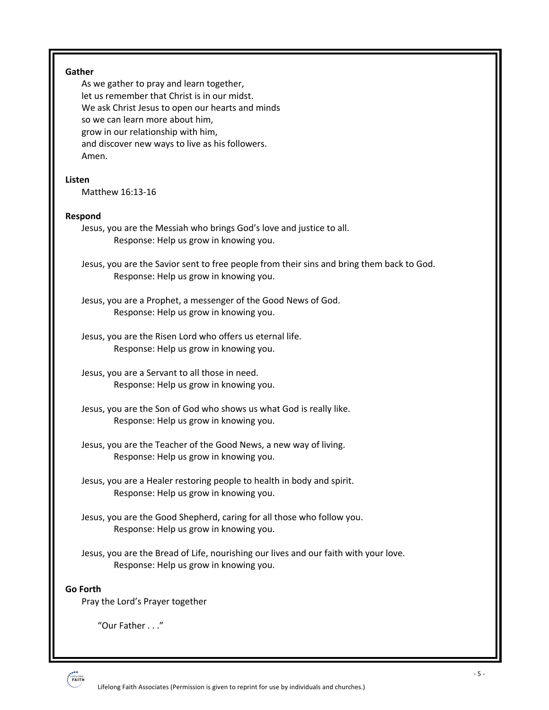#### **Gather**

As we gather to pray and learn together, let us remember that Christ is in our midst. We ask Christ Jesus to open our hearts and minds so we can learn more about him, grow in our relationship with him, and discover new ways to live as his followers. Amen.

#### **Listen**

Matthew 16:13-16

#### **Respond**

Jesus, you are the Messiah who brings God's love and justice to all. Response: Help us grow in knowing you.

Jesus, you are the Savior sent to free people from their sins and bring them back to God. Response: Help us grow in knowing you.

Jesus, you are a Prophet, a messenger of the Good News of God. Response: Help us grow in knowing you.

Jesus, you are the Risen Lord who offers us eternal life. Response: Help us grow in knowing you.

Jesus, you are a Servant to all those in need. Response: Help us grow in knowing you.

Jesus, you are the Son of God who shows us what God is really like. Response: Help us grow in knowing you.

Jesus, you are the Teacher of the Good News, a new way of living. Response: Help us grow in knowing you.

Jesus, you are a Healer restoring people to health in body and spirit. Response: Help us grow in knowing you.

Jesus, you are the Good Shepherd, caring for all those who follow you. Response: Help us grow in knowing you.

Jesus, you are the Bread of Life, nourishing our lives and our faith with your love. Response: Help us grow in knowing you.

#### **Go Forth**

Pray the Lord's Prayer together

"Our Father . . ."

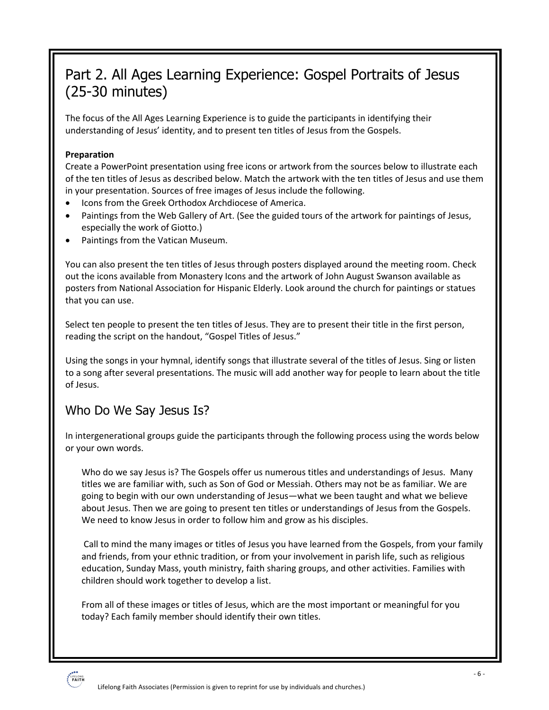# Part 2. All Ages Learning Experience: Gospel Portraits of Jesus (25-30 minutes)

The focus of the All Ages Learning Experience is to guide the participants in identifying their understanding of Jesus' identity, and to present ten titles of Jesus from the Gospels.

#### **Preparation**

Create a PowerPoint presentation using free icons or artwork from the sources below to illustrate each of the ten titles of Jesus as described below. Match the artwork with the ten titles of Jesus and use them in your presentation. Sources of free images of Jesus include the following.

- Icons from the Greek Orthodox Archdiocese of America.
- Paintings from the Web Gallery of Art. (See the guided tours of the artwork for paintings of Jesus, especially the work of Giotto.)
- Paintings from the Vatican Museum.

You can also present the ten titles of Jesus through posters displayed around the meeting room. Check out the icons available from Monastery Icons and the artwork of John August Swanson available as posters from National Association for Hispanic Elderly. Look around the church for paintings or statues that you can use.

Select ten people to present the ten titles of Jesus. They are to present their title in the first person, reading the script on the handout, "Gospel Titles of Jesus."

Using the songs in your hymnal, identify songs that illustrate several of the titles of Jesus. Sing or listen to a song after several presentations. The music will add another way for people to learn about the title of Jesus.

# Who Do We Say Jesus Is?

In intergenerational groups guide the participants through the following process using the words below or your own words.

Who do we say Jesus is? The Gospels offer us numerous titles and understandings of Jesus. Many titles we are familiar with, such as Son of God or Messiah. Others may not be as familiar. We are going to begin with our own understanding of Jesus—what we been taught and what we believe about Jesus. Then we are going to present ten titles or understandings of Jesus from the Gospels. We need to know Jesus in order to follow him and grow as his disciples.

Call to mind the many images or titles of Jesus you have learned from the Gospels, from your family and friends, from your ethnic tradition, or from your involvement in parish life, such as religious education, Sunday Mass, youth ministry, faith sharing groups, and other activities. Families with children should work together to develop a list.

From all of these images or titles of Jesus, which are the most important or meaningful for you today? Each family member should identify their own titles.

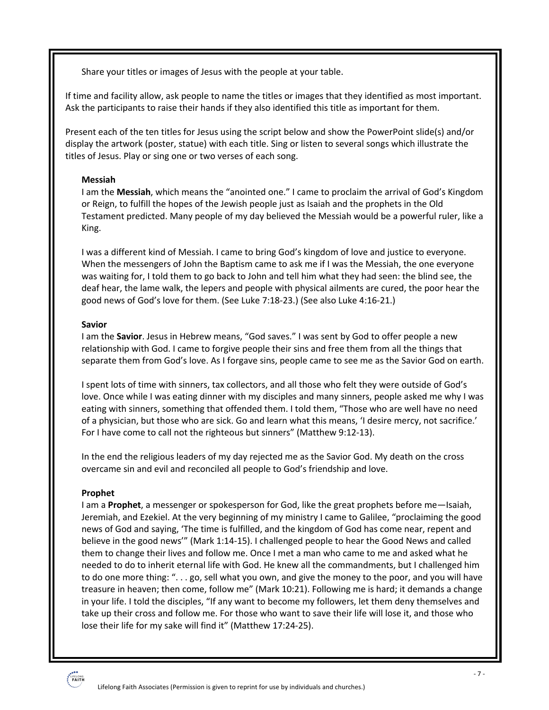Share your titles or images of Jesus with the people at your table.

If time and facility allow, ask people to name the titles or images that they identified as most important. Ask the participants to raise their hands if they also identified this title as important for them.

Present each of the ten titles for Jesus using the script below and show the PowerPoint slide(s) and/or display the artwork (poster, statue) with each title. Sing or listen to several songs which illustrate the titles of Jesus. Play or sing one or two verses of each song.

#### **Messiah**

I am the **Messiah**, which means the "anointed one." I came to proclaim the arrival of God's Kingdom or Reign, to fulfill the hopes of the Jewish people just as Isaiah and the prophets in the Old Testament predicted. Many people of my day believed the Messiah would be a powerful ruler, like a King.

I was a different kind of Messiah. I came to bring God's kingdom of love and justice to everyone. When the messengers of John the Baptism came to ask me if I was the Messiah, the one everyone was waiting for, I told them to go back to John and tell him what they had seen: the blind see, the deaf hear, the lame walk, the lepers and people with physical ailments are cured, the poor hear the good news of God's love for them. (See Luke 7:18-23.) (See also Luke 4:16-21.)

#### **Savior**

I am the **Savior**. Jesus in Hebrew means, "God saves." I was sent by God to offer people a new relationship with God. I came to forgive people their sins and free them from all the things that separate them from God's love. As I forgave sins, people came to see me as the Savior God on earth.

I spent lots of time with sinners, tax collectors, and all those who felt they were outside of God's love. Once while I was eating dinner with my disciples and many sinners, people asked me why I was eating with sinners, something that offended them. I told them, "Those who are well have no need of a physician, but those who are sick. Go and learn what this means, 'I desire mercy, not sacrifice.' For I have come to call not the righteous but sinners" (Matthew 9:12-13).

In the end the religious leaders of my day rejected me as the Savior God. My death on the cross overcame sin and evil and reconciled all people to God's friendship and love.

#### **Prophet**

I am a **Prophet**, a messenger or spokesperson for God, like the great prophets before me—Isaiah, Jeremiah, and Ezekiel. At the very beginning of my ministry I came to Galilee, "proclaiming the good news of God and saying, 'The time is fulfilled, and the kingdom of God has come near, repent and believe in the good news'" (Mark 1:14-15). I challenged people to hear the Good News and called them to change their lives and follow me. Once I met a man who came to me and asked what he needed to do to inherit eternal life with God. He knew all the commandments, but I challenged him to do one more thing: ". . . go, sell what you own, and give the money to the poor, and you will have treasure in heaven; then come, follow me" (Mark 10:21). Following me is hard; it demands a change in your life. I told the disciples, "If any want to become my followers, let them deny themselves and take up their cross and follow me. For those who want to save their life will lose it, and those who lose their life for my sake will find it" (Matthew 17:24-25).

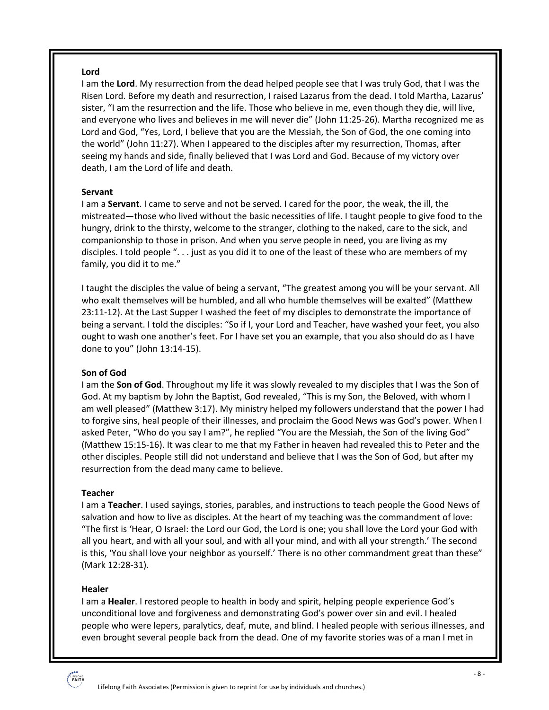#### **Lord**

I am the **Lord**. My resurrection from the dead helped people see that I was truly God, that I was the Risen Lord. Before my death and resurrection, I raised Lazarus from the dead. I told Martha, Lazarus' sister, "I am the resurrection and the life. Those who believe in me, even though they die, will live, and everyone who lives and believes in me will never die" (John 11:25-26). Martha recognized me as Lord and God, "Yes, Lord, I believe that you are the Messiah, the Son of God, the one coming into the world" (John 11:27). When I appeared to the disciples after my resurrection, Thomas, after seeing my hands and side, finally believed that I was Lord and God. Because of my victory over death, I am the Lord of life and death.

#### **Servant**

I am a **Servant**. I came to serve and not be served. I cared for the poor, the weak, the ill, the mistreated—those who lived without the basic necessities of life. I taught people to give food to the hungry, drink to the thirsty, welcome to the stranger, clothing to the naked, care to the sick, and companionship to those in prison. And when you serve people in need, you are living as my disciples. I told people ". . . just as you did it to one of the least of these who are members of my family, you did it to me."

I taught the disciples the value of being a servant, "The greatest among you will be your servant. All who exalt themselves will be humbled, and all who humble themselves will be exalted" (Matthew 23:11-12). At the Last Supper I washed the feet of my disciples to demonstrate the importance of being a servant. I told the disciples: "So if I, your Lord and Teacher, have washed your feet, you also ought to wash one another's feet. For I have set you an example, that you also should do as I have done to you" (John 13:14-15).

#### **Son of God**

I am the **Son of God**. Throughout my life it was slowly revealed to my disciples that I was the Son of God. At my baptism by John the Baptist, God revealed, "This is my Son, the Beloved, with whom I am well pleased" (Matthew 3:17). My ministry helped my followers understand that the power I had to forgive sins, heal people of their illnesses, and proclaim the Good News was God's power. When I asked Peter, "Who do you say I am?", he replied "You are the Messiah, the Son of the living God" (Matthew 15:15-16). It was clear to me that my Father in heaven had revealed this to Peter and the other disciples. People still did not understand and believe that I was the Son of God, but after my resurrection from the dead many came to believe.

#### **Teacher**

I am a **Teacher**. I used sayings, stories, parables, and instructions to teach people the Good News of salvation and how to live as disciples. At the heart of my teaching was the commandment of love: "The first is 'Hear, O Israel: the Lord our God, the Lord is one; you shall love the Lord your God with all you heart, and with all your soul, and with all your mind, and with all your strength.' The second is this, 'You shall love your neighbor as yourself.' There is no other commandment great than these" (Mark 12:28-31).

#### **Healer**

I am a **Healer**. I restored people to health in body and spirit, helping people experience God's unconditional love and forgiveness and demonstrating God's power over sin and evil. I healed people who were lepers, paralytics, deaf, mute, and blind. I healed people with serious illnesses, and even brought several people back from the dead. One of my favorite stories was of a man I met in

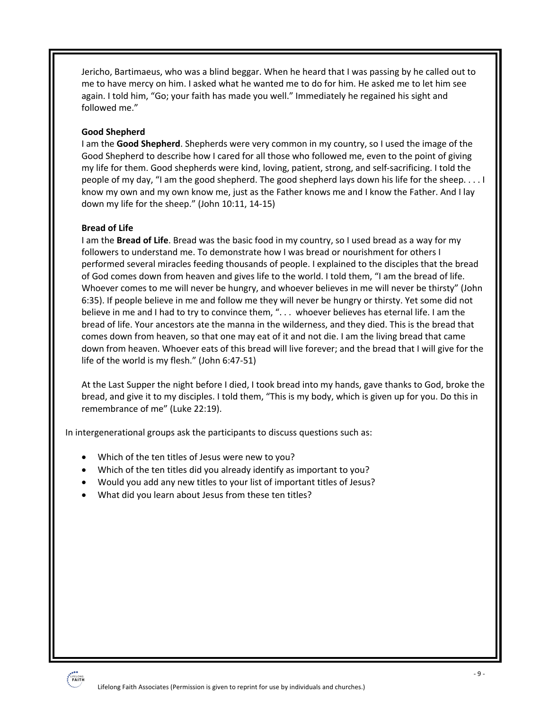Jericho, Bartimaeus, who was a blind beggar. When he heard that I was passing by he called out to me to have mercy on him. I asked what he wanted me to do for him. He asked me to let him see again. I told him, "Go; your faith has made you well." Immediately he regained his sight and followed me."

#### **Good Shepherd**

I am the **Good Shepherd**. Shepherds were very common in my country, so I used the image of the Good Shepherd to describe how I cared for all those who followed me, even to the point of giving my life for them. Good shepherds were kind, loving, patient, strong, and self-sacrificing. I told the people of my day, "I am the good shepherd. The good shepherd lays down his life for the sheep. . . . I know my own and my own know me, just as the Father knows me and I know the Father. And I lay down my life for the sheep." (John 10:11, 14-15)

#### **Bread of Life**

I am the **Bread of Life**. Bread was the basic food in my country, so I used bread as a way for my followers to understand me. To demonstrate how I was bread or nourishment for others I performed several miracles feeding thousands of people. I explained to the disciples that the bread of God comes down from heaven and gives life to the world. I told them, "I am the bread of life. Whoever comes to me will never be hungry, and whoever believes in me will never be thirsty" (John 6:35). If people believe in me and follow me they will never be hungry or thirsty. Yet some did not believe in me and I had to try to convince them, "... whoever believes has eternal life. I am the bread of life. Your ancestors ate the manna in the wilderness, and they died. This is the bread that comes down from heaven, so that one may eat of it and not die. I am the living bread that came down from heaven. Whoever eats of this bread will live forever; and the bread that I will give for the life of the world is my flesh." (John 6:47-51)

At the Last Supper the night before I died, I took bread into my hands, gave thanks to God, broke the bread, and give it to my disciples. I told them, "This is my body, which is given up for you. Do this in remembrance of me" (Luke 22:19).

In intergenerational groups ask the participants to discuss questions such as:

- Which of the ten titles of Jesus were new to you?
- Which of the ten titles did you already identify as important to you?
- Would you add any new titles to your list of important titles of Jesus?
- What did you learn about Jesus from these ten titles?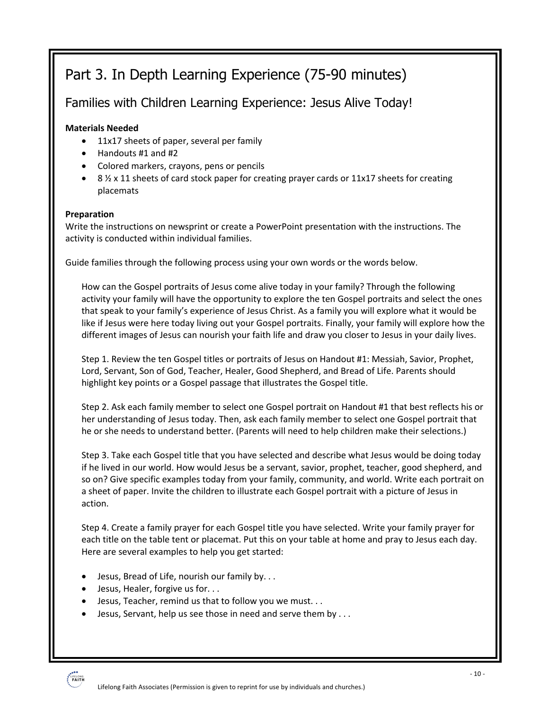# Part 3. In Depth Learning Experience (75-90 minutes)

### Families with Children Learning Experience: Jesus Alive Today!

#### **Materials Needed**

- 11x17 sheets of paper, several per family
- Handouts #1 and #2
- Colored markers, crayons, pens or pencils
- 8  $\frac{1}{2}$  x 11 sheets of card stock paper for creating prayer cards or 11x17 sheets for creating placemats

#### **Preparation**

Write the instructions on newsprint or create a PowerPoint presentation with the instructions. The activity is conducted within individual families.

Guide families through the following process using your own words or the words below.

How can the Gospel portraits of Jesus come alive today in your family? Through the following activity your family will have the opportunity to explore the ten Gospel portraits and select the ones that speak to your family's experience of Jesus Christ. As a family you will explore what it would be like if Jesus were here today living out your Gospel portraits. Finally, your family will explore how the different images of Jesus can nourish your faith life and draw you closer to Jesus in your daily lives.

Step 1. Review the ten Gospel titles or portraits of Jesus on Handout #1: Messiah, Savior, Prophet, Lord, Servant, Son of God, Teacher, Healer, Good Shepherd, and Bread of Life. Parents should highlight key points or a Gospel passage that illustrates the Gospel title.

Step 2. Ask each family member to select one Gospel portrait on Handout #1 that best reflects his or her understanding of Jesus today. Then, ask each family member to select one Gospel portrait that he or she needs to understand better. (Parents will need to help children make their selections.)

Step 3. Take each Gospel title that you have selected and describe what Jesus would be doing today if he lived in our world. How would Jesus be a servant, savior, prophet, teacher, good shepherd, and so on? Give specific examples today from your family, community, and world. Write each portrait on a sheet of paper. Invite the children to illustrate each Gospel portrait with a picture of Jesus in action.

Step 4. Create a family prayer for each Gospel title you have selected. Write your family prayer for each title on the table tent or placemat. Put this on your table at home and pray to Jesus each day. Here are several examples to help you get started:

- Jesus, Bread of Life, nourish our family by. . .
- Jesus, Healer, forgive us for. . .
- Jesus, Teacher, remind us that to follow you we must. . .
- Jesus, Servant, help us see those in need and serve them by . . .



- 10 -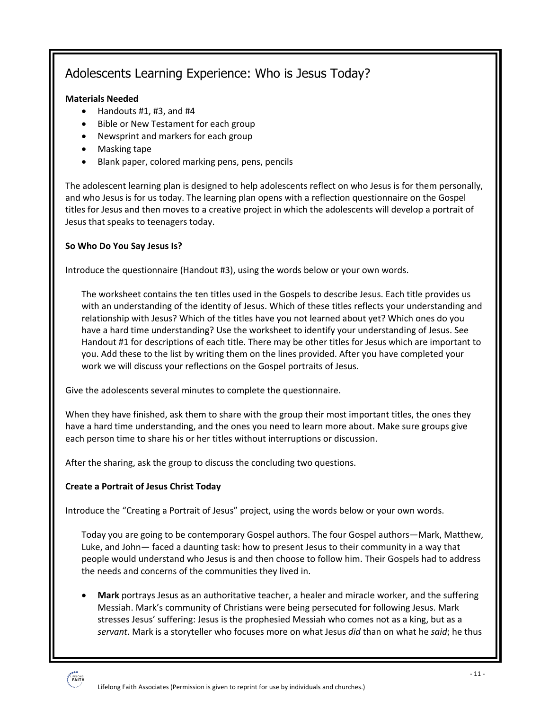## Adolescents Learning Experience: Who is Jesus Today?

#### **Materials Needed**

- $\bullet$  Handouts #1, #3, and #4
- Bible or New Testament for each group
- Newsprint and markers for each group
- Masking tape
- Blank paper, colored marking pens, pens, pencils

The adolescent learning plan is designed to help adolescents reflect on who Jesus is for them personally, and who Jesus is for us today. The learning plan opens with a reflection questionnaire on the Gospel titles for Jesus and then moves to a creative project in which the adolescents will develop a portrait of Jesus that speaks to teenagers today.

#### **So Who Do You Say Jesus Is?**

Introduce the questionnaire (Handout #3), using the words below or your own words.

The worksheet contains the ten titles used in the Gospels to describe Jesus. Each title provides us with an understanding of the identity of Jesus. Which of these titles reflects your understanding and relationship with Jesus? Which of the titles have you not learned about yet? Which ones do you have a hard time understanding? Use the worksheet to identify your understanding of Jesus. See Handout #1 for descriptions of each title. There may be other titles for Jesus which are important to you. Add these to the list by writing them on the lines provided. After you have completed your work we will discuss your reflections on the Gospel portraits of Jesus.

Give the adolescents several minutes to complete the questionnaire.

When they have finished, ask them to share with the group their most important titles, the ones they have a hard time understanding, and the ones you need to learn more about. Make sure groups give each person time to share his or her titles without interruptions or discussion.

After the sharing, ask the group to discuss the concluding two questions.

#### **Create a Portrait of Jesus Christ Today**

Introduce the "Creating a Portrait of Jesus" project, using the words below or your own words.

Today you are going to be contemporary Gospel authors. The four Gospel authors—Mark, Matthew, Luke, and John— faced a daunting task: how to present Jesus to their community in a way that people would understand who Jesus is and then choose to follow him. Their Gospels had to address the needs and concerns of the communities they lived in.

• **Mark** portrays Jesus as an authoritative teacher, a healer and miracle worker, and the suffering Messiah. Mark's community of Christians were being persecuted for following Jesus. Mark stresses Jesus' suffering: Jesus is the prophesied Messiah who comes not as a king, but as a *servant*. Mark is a storyteller who focuses more on what Jesus *did* than on what he *said*; he thus

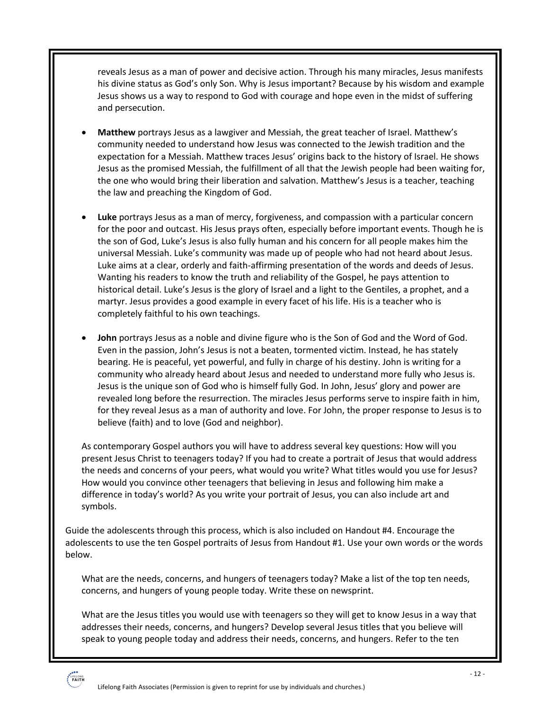reveals Jesus as a man of power and decisive action. Through his many miracles, Jesus manifests his divine status as God's only Son. Why is Jesus important? Because by his wisdom and example Jesus shows us a way to respond to God with courage and hope even in the midst of suffering and persecution.

- **Matthew** portrays Jesus as a lawgiver and Messiah, the great teacher of Israel. Matthew's community needed to understand how Jesus was connected to the Jewish tradition and the expectation for a Messiah. Matthew traces Jesus' origins back to the history of Israel. He shows Jesus as the promised Messiah, the fulfillment of all that the Jewish people had been waiting for, the one who would bring their liberation and salvation. Matthew's Jesus is a teacher, teaching the law and preaching the Kingdom of God.
- **Luke** portrays Jesus as a man of mercy, forgiveness, and compassion with a particular concern for the poor and outcast. His Jesus prays often, especially before important events. Though he is the son of God, Luke's Jesus is also fully human and his concern for all people makes him the universal Messiah. Luke's community was made up of people who had not heard about Jesus. Luke aims at a clear, orderly and faith-affirming presentation of the words and deeds of Jesus. Wanting his readers to know the truth and reliability of the Gospel, he pays attention to historical detail. Luke's Jesus is the glory of Israel and a light to the Gentiles, a prophet, and a martyr. Jesus provides a good example in every facet of his life. His is a teacher who is completely faithful to his own teachings.
- **John** portrays Jesus as a noble and divine figure who is the Son of God and the Word of God. Even in the passion, John's Jesus is not a beaten, tormented victim. Instead, he has stately bearing. He is peaceful, yet powerful, and fully in charge of his destiny. John is writing for a community who already heard about Jesus and needed to understand more fully who Jesus is. Jesus is the unique son of God who is himself fully God. In John, Jesus' glory and power are revealed long before the resurrection. The miracles Jesus performs serve to inspire faith in him, for they reveal Jesus as a man of authority and love. For John, the proper response to Jesus is to believe (faith) and to love (God and neighbor).

As contemporary Gospel authors you will have to address several key questions: How will you present Jesus Christ to teenagers today? If you had to create a portrait of Jesus that would address the needs and concerns of your peers, what would you write? What titles would you use for Jesus? How would you convince other teenagers that believing in Jesus and following him make a difference in today's world? As you write your portrait of Jesus, you can also include art and symbols.

Guide the adolescents through this process, which is also included on Handout #4. Encourage the adolescents to use the ten Gospel portraits of Jesus from Handout #1. Use your own words or the words below.

What are the needs, concerns, and hungers of teenagers today? Make a list of the top ten needs, concerns, and hungers of young people today. Write these on newsprint.

What are the Jesus titles you would use with teenagers so they will get to know Jesus in a way that addresses their needs, concerns, and hungers? Develop several Jesus titles that you believe will speak to young people today and address their needs, concerns, and hungers. Refer to the ten

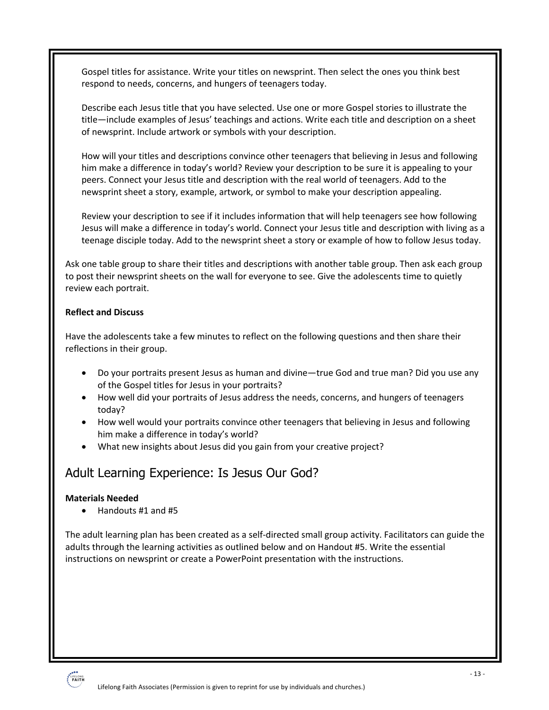Gospel titles for assistance. Write your titles on newsprint. Then select the ones you think best respond to needs, concerns, and hungers of teenagers today.

Describe each Jesus title that you have selected. Use one or more Gospel stories to illustrate the title—include examples of Jesus' teachings and actions. Write each title and description on a sheet of newsprint. Include artwork or symbols with your description.

How will your titles and descriptions convince other teenagers that believing in Jesus and following him make a difference in today's world? Review your description to be sure it is appealing to your peers. Connect your Jesus title and description with the real world of teenagers. Add to the newsprint sheet a story, example, artwork, or symbol to make your description appealing.

Review your description to see if it includes information that will help teenagers see how following Jesus will make a difference in today's world. Connect your Jesus title and description with living as a teenage disciple today. Add to the newsprint sheet a story or example of how to follow Jesus today.

Ask one table group to share their titles and descriptions with another table group. Then ask each group to post their newsprint sheets on the wall for everyone to see. Give the adolescents time to quietly review each portrait.

#### **Reflect and Discuss**

Have the adolescents take a few minutes to reflect on the following questions and then share their reflections in their group.

- Do your portraits present Jesus as human and divine—true God and true man? Did you use any of the Gospel titles for Jesus in your portraits?
- How well did your portraits of Jesus address the needs, concerns, and hungers of teenagers today?
- How well would your portraits convince other teenagers that believing in Jesus and following him make a difference in today's world?
- What new insights about Jesus did you gain from your creative project?

### Adult Learning Experience: Is Jesus Our God?

#### **Materials Needed**

• Handouts #1 and #5

The adult learning plan has been created as a self-directed small group activity. Facilitators can guide the adults through the learning activities as outlined below and on Handout #5. Write the essential instructions on newsprint or create a PowerPoint presentation with the instructions.

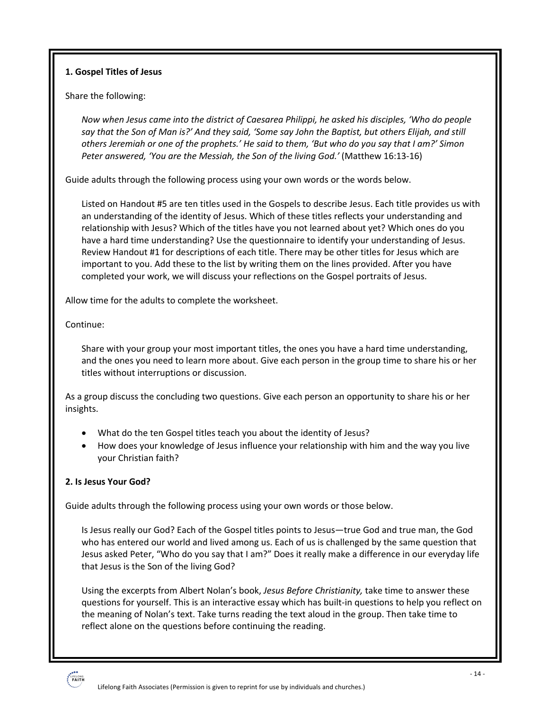#### **1. Gospel Titles of Jesus**

Share the following:

*Now when Jesus came into the district of Caesarea Philippi, he asked his disciples, 'Who do people say that the Son of Man is?' And they said, 'Some say John the Baptist, but others Elijah, and still others Jeremiah or one of the prophets.' He said to them, 'But who do you say that I am?' Simon Peter answered, 'You are the Messiah, the Son of the living God.'* (Matthew 16:13-16)

Guide adults through the following process using your own words or the words below.

Listed on Handout #5 are ten titles used in the Gospels to describe Jesus. Each title provides us with an understanding of the identity of Jesus. Which of these titles reflects your understanding and relationship with Jesus? Which of the titles have you not learned about yet? Which ones do you have a hard time understanding? Use the questionnaire to identify your understanding of Jesus. Review Handout #1 for descriptions of each title. There may be other titles for Jesus which are important to you. Add these to the list by writing them on the lines provided. After you have completed your work, we will discuss your reflections on the Gospel portraits of Jesus.

Allow time for the adults to complete the worksheet.

#### Continue:

Share with your group your most important titles, the ones you have a hard time understanding, and the ones you need to learn more about. Give each person in the group time to share his or her titles without interruptions or discussion.

As a group discuss the concluding two questions. Give each person an opportunity to share his or her insights.

- What do the ten Gospel titles teach you about the identity of Jesus?
- How does your knowledge of Jesus influence your relationship with him and the way you live your Christian faith?

#### **2. Is Jesus Your God?**

Guide adults through the following process using your own words or those below.

Is Jesus really our God? Each of the Gospel titles points to Jesus—true God and true man, the God who has entered our world and lived among us. Each of us is challenged by the same question that Jesus asked Peter, "Who do you say that I am?" Does it really make a difference in our everyday life that Jesus is the Son of the living God?

Using the excerpts from Albert Nolan's book, *Jesus Before Christianity,* take time to answer these questions for yourself. This is an interactive essay which has built-in questions to help you reflect on the meaning of Nolan's text. Take turns reading the text aloud in the group. Then take time to reflect alone on the questions before continuing the reading.

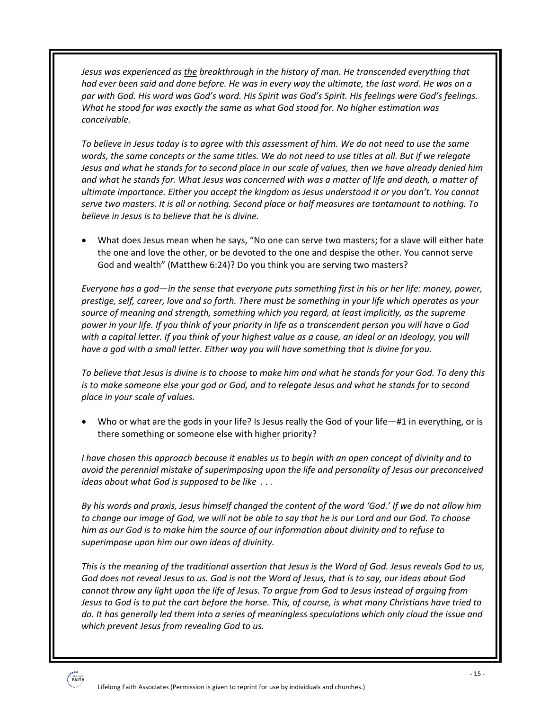*Jesus was experienced as the breakthrough in the history of man. He transcended everything that had ever been said and done before. He was in every way the ultimate, the last word. He was on a par with God. His word was God's word. His Spirit was God's Spirit. His feelings were God's feelings. What he stood for was exactly the same as what God stood for. No higher estimation was conceivable.* 

*To believe in Jesus today is to agree with this assessment of him. We do not need to use the same words, the same concepts or the same titles. We do not need to use titles at all. But if we relegate Jesus and what he stands for to second place in our scale of values, then we have already denied him and what he stands for. What Jesus was concerned with was a matter of life and death, a matter of ultimate importance. Either you accept the kingdom as Jesus understood it or you don't. You cannot serve two masters. It is all or nothing. Second place or half measures are tantamount to nothing. To believe in Jesus is to believe that he is divine.*

• What does Jesus mean when he says, "No one can serve two masters; for a slave will either hate the one and love the other, or be devoted to the one and despise the other. You cannot serve God and wealth" (Matthew 6:24)? Do you think you are serving two masters?

*Everyone has a god—in the sense that everyone puts something first in his or her life: money, power, prestige, self, career, love and so forth. There must be something in your life which operates as your source of meaning and strength, something which you regard, at least implicitly, as the supreme power in your life. If you think of your priority in life as a transcendent person you will have a God with a capital letter. If you think of your highest value as a cause, an ideal or an ideology, you will have a god with a small letter. Either way you will have something that is divine for you.*

*To believe that Jesus is divine is to choose to make him and what he stands for your God. To deny this is to make someone else your god or God, and to relegate Jesus and what he stands for to second place in your scale of values.*

• Who or what are the gods in your life? Is Jesus really the God of your life—#1 in everything, or is there something or someone else with higher priority?

*I have chosen this approach because it enables us to begin with an open concept of divinity and to avoid the perennial mistake of superimposing upon the life and personality of Jesus our preconceived ideas about what God is supposed to be like . . .*

*By his words and praxis, Jesus himself changed the content of the word 'God.' If we do not allow him to change our image of God, we will not be able to say that he is our Lord and our God. To choose him as our God is to make him the source of our information about divinity and to refuse to superimpose upon him our own ideas of divinity.*

*This is the meaning of the traditional assertion that Jesus is the Word of God. Jesus reveals God to us, God does not reveal Jesus to us. God is not the Word of Jesus, that is to say, our ideas about God cannot throw any light upon the life of Jesus. To argue from God to Jesus instead of arguing from Jesus to God is to put the cart before the horse. This, of course, is what many Christians have tried to do. It has generally led them into a series of meaningless speculations which only cloud the issue and which prevent Jesus from revealing God to us.*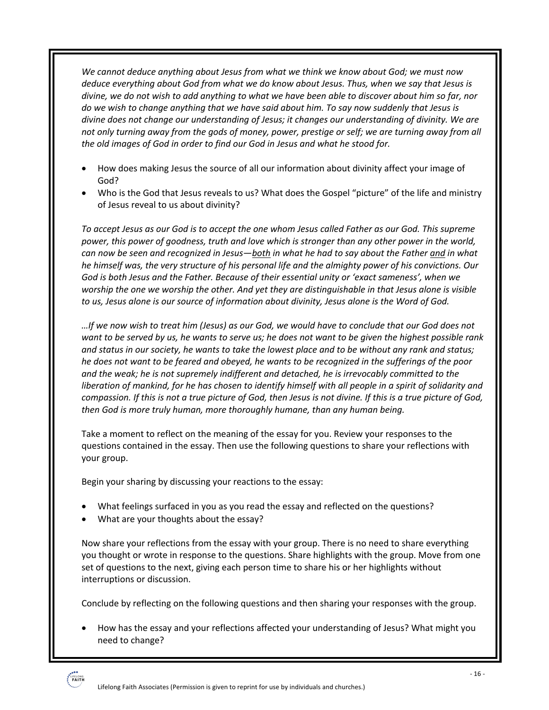*We cannot deduce anything about Jesus from what we think we know about God; we must now deduce everything about God from what we do know about Jesus. Thus, when we say that Jesus is divine, we do not wish to add anything to what we have been able to discover about him so far, nor do we wish to change anything that we have said about him. To say now suddenly that Jesus is divine does not change our understanding of Jesus; it changes our understanding of divinity. We are not only turning away from the gods of money, power, prestige or self; we are turning away from all the old images of God in order to find our God in Jesus and what he stood for.*

- How does making Jesus the source of all our information about divinity affect your image of God?
- Who is the God that Jesus reveals to us? What does the Gospel "picture" of the life and ministry of Jesus reveal to us about divinity?

*To accept Jesus as our God is to accept the one whom Jesus called Father as our God. This supreme power, this power of goodness, truth and love which is stronger than any other power in the world, can now be seen and recognized in Jesus—both in what he had to say about the Father and in what he himself was, the very structure of his personal life and the almighty power of his convictions. Our God is both Jesus and the Father. Because of their essential unity or 'exact sameness', when we worship the one we worship the other. And yet they are distinguishable in that Jesus alone is visible to us, Jesus alone is our source of information about divinity, Jesus alone is the Word of God.*

*…If we now wish to treat him (Jesus) as our God, we would have to conclude that our God does not want to be served by us, he wants to serve us; he does not want to be given the highest possible rank and status in our society, he wants to take the lowest place and to be without any rank and status; he does not want to be feared and obeyed, he wants to be recognized in the sufferings of the poor and the weak; he is not supremely indifferent and detached, he is irrevocably committed to the liberation of mankind, for he has chosen to identify himself with all people in a spirit of solidarity and compassion. If this is not a true picture of God, then Jesus is not divine. If this is a true picture of God, then God is more truly human, more thoroughly humane, than any human being.* 

Take a moment to reflect on the meaning of the essay for you. Review your responses to the questions contained in the essay. Then use the following questions to share your reflections with your group.

Begin your sharing by discussing your reactions to the essay:

- What feelings surfaced in you as you read the essay and reflected on the questions?
- What are your thoughts about the essay?

Now share your reflections from the essay with your group. There is no need to share everything you thought or wrote in response to the questions. Share highlights with the group. Move from one set of questions to the next, giving each person time to share his or her highlights without interruptions or discussion.

Conclude by reflecting on the following questions and then sharing your responses with the group.

• How has the essay and your reflections affected your understanding of Jesus? What might you need to change?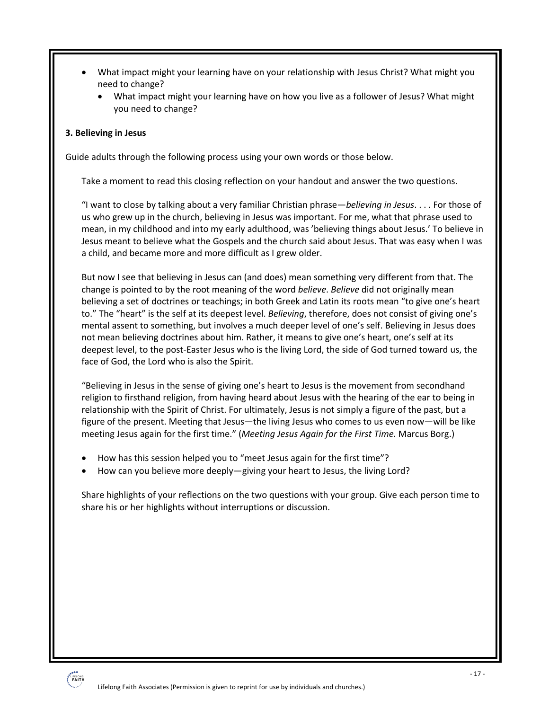- What impact might your learning have on your relationship with Jesus Christ? What might you need to change?
	- What impact might your learning have on how you live as a follower of Jesus? What might you need to change?

#### **3. Believing in Jesus**

Guide adults through the following process using your own words or those below.

Take a moment to read this closing reflection on your handout and answer the two questions.

"I want to close by talking about a very familiar Christian phrase—*believing in Jesus*. . . . For those of us who grew up in the church, believing in Jesus was important. For me, what that phrase used to mean, in my childhood and into my early adulthood, was 'believing things about Jesus.' To believe in Jesus meant to believe what the Gospels and the church said about Jesus. That was easy when I was a child, and became more and more difficult as I grew older.

But now I see that believing in Jesus can (and does) mean something very different from that. The change is pointed to by the root meaning of the word *believe*. *Believe* did not originally mean believing a set of doctrines or teachings; in both Greek and Latin its roots mean "to give one's heart to." The "heart" is the self at its deepest level. *Believing*, therefore, does not consist of giving one's mental assent to something, but involves a much deeper level of one's self. Believing in Jesus does not mean believing doctrines about him. Rather, it means to give one's heart, one's self at its deepest level, to the post-Easter Jesus who is the living Lord, the side of God turned toward us, the face of God, the Lord who is also the Spirit.

"Believing in Jesus in the sense of giving one's heart to Jesus is the movement from secondhand religion to firsthand religion, from having heard about Jesus with the hearing of the ear to being in relationship with the Spirit of Christ. For ultimately, Jesus is not simply a figure of the past, but a figure of the present. Meeting that Jesus—the living Jesus who comes to us even now—will be like meeting Jesus again for the first time." (*Meeting Jesus Again for the First Time.* Marcus Borg.)

- How has this session helped you to "meet Jesus again for the first time"?
- How can you believe more deeply—giving your heart to Jesus, the living Lord?

Share highlights of your reflections on the two questions with your group. Give each person time to share his or her highlights without interruptions or discussion.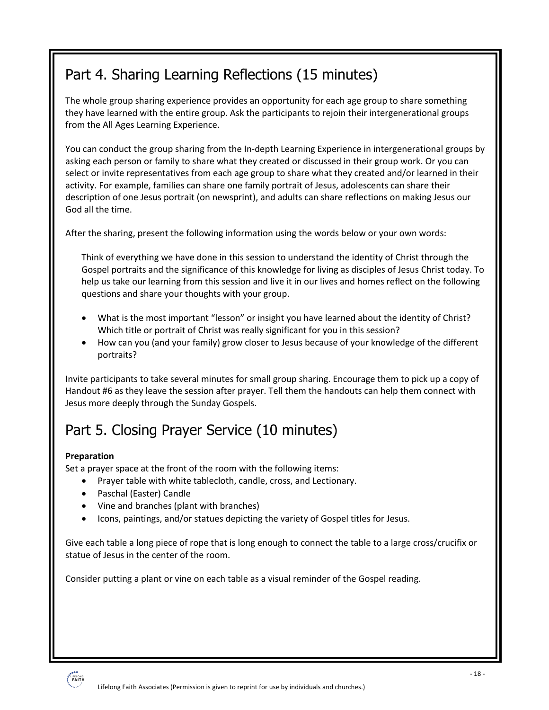# Part 4. Sharing Learning Reflections (15 minutes)

The whole group sharing experience provides an opportunity for each age group to share something they have learned with the entire group. Ask the participants to rejoin their intergenerational groups from the All Ages Learning Experience.

You can conduct the group sharing from the In-depth Learning Experience in intergenerational groups by asking each person or family to share what they created or discussed in their group work. Or you can select or invite representatives from each age group to share what they created and/or learned in their activity. For example, families can share one family portrait of Jesus, adolescents can share their description of one Jesus portrait (on newsprint), and adults can share reflections on making Jesus our God all the time.

After the sharing, present the following information using the words below or your own words:

Think of everything we have done in this session to understand the identity of Christ through the Gospel portraits and the significance of this knowledge for living as disciples of Jesus Christ today. To help us take our learning from this session and live it in our lives and homes reflect on the following questions and share your thoughts with your group.

- What is the most important "lesson" or insight you have learned about the identity of Christ? Which title or portrait of Christ was really significant for you in this session?
- How can you (and your family) grow closer to Jesus because of your knowledge of the different portraits?

Invite participants to take several minutes for small group sharing. Encourage them to pick up a copy of Handout #6 as they leave the session after prayer. Tell them the handouts can help them connect with Jesus more deeply through the Sunday Gospels.

# Part 5. Closing Prayer Service (10 minutes)

#### **Preparation**

Set a prayer space at the front of the room with the following items:

- Prayer table with white tablecloth, candle, cross, and Lectionary.
- Paschal (Easter) Candle
- Vine and branches (plant with branches)
- Icons, paintings, and/or statues depicting the variety of Gospel titles for Jesus.

Give each table a long piece of rope that is long enough to connect the table to a large cross/crucifix or statue of Jesus in the center of the room.

Consider putting a plant or vine on each table as a visual reminder of the Gospel reading.